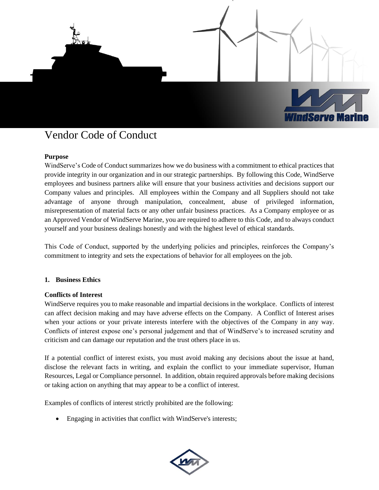

### **Purpose**

WindServe's Code of Conduct summarizes how we do business with a commitment to ethical practices that provide integrity in our organization and in our strategic partnerships. By following this Code, WindServe employees and business partners alike will ensure that your business activities and decisions support our Company values and principles. All employees within the Company and all Suppliers should not take advantage of anyone through manipulation, concealment, abuse of privileged information, misrepresentation of material facts or any other unfair business practices. As a Company employee or as an Approved Vendor of WindServe Marine, you are required to adhere to this Code, and to always conduct yourself and your business dealings honestly and with the highest level of ethical standards.

This Code of Conduct, supported by the underlying policies and principles, reinforces the Company's commitment to integrity and sets the expectations of behavior for all employees on the job.

#### **1. Business Ethics**

#### **Conflicts of Interest**

WindServe requires you to make reasonable and impartial decisions in the workplace. Conflicts of interest can affect decision making and may have adverse effects on the Company. A Conflict of Interest arises when your actions or your private interests interfere with the objectives of the Company in any way. Conflicts of interest expose one's personal judgement and that of WindServe's to increased scrutiny and criticism and can damage our reputation and the trust others place in us.

If a potential conflict of interest exists, you must avoid making any decisions about the issue at hand, disclose the relevant facts in writing, and explain the conflict to your immediate supervisor, Human Resources, Legal or Compliance personnel. In addition, obtain required approvals before making decisions or taking action on anything that may appear to be a conflict of interest.

Examples of conflicts of interest strictly prohibited are the following:

• Engaging in activities that conflict with WindServe's interests;

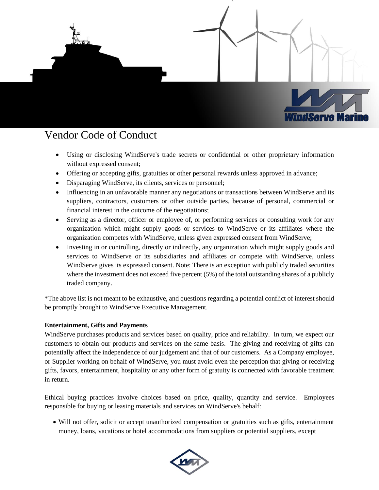

- Using or disclosing WindServe's trade secrets or confidential or other proprietary information without expressed consent;
- Offering or accepting gifts, gratuities or other personal rewards unless approved in advance;
- Disparaging WindServe, its clients, services or personnel;
- Influencing in an unfavorable manner any negotiations or transactions between WindServe and its suppliers, contractors, customers or other outside parties, because of personal, commercial or financial interest in the outcome of the negotiations;
- Serving as a director, officer or employee of, or performing services or consulting work for any organization which might supply goods or services to WindServe or its affiliates where the organization competes with WindServe, unless given expressed consent from WindServe;
- Investing in or controlling, directly or indirectly, any organization which might supply goods and services to WindServe or its subsidiaries and affiliates or compete with WindServe, unless WindServe gives its expressed consent. Note: There is an exception with publicly traded securities where the investment does not exceed five percent (5%) of the total outstanding shares of a publicly traded company.

\*The above list is not meant to be exhaustive, and questions regarding a potential conflict of interest should be promptly brought to WindServe Executive Management.

### **Entertainment, Gifts and Payments**

WindServe purchases products and services based on quality, price and reliability. In turn, we expect our customers to obtain our products and services on the same basis. The giving and receiving of gifts can potentially affect the independence of our judgement and that of our customers. As a Company employee, or Supplier working on behalf of WindServe, you must avoid even the perception that giving or receiving gifts, favors, entertainment, hospitality or any other form of gratuity is connected with favorable treatment in return.

Ethical buying practices involve choices based on price, quality, quantity and service. Employees responsible for buying or leasing materials and services on WindServe's behalf:

• Will not offer, solicit or accept unauthorized compensation or gratuities such as gifts, entertainment money, loans, vacations or hotel accommodations from suppliers or potential suppliers, except

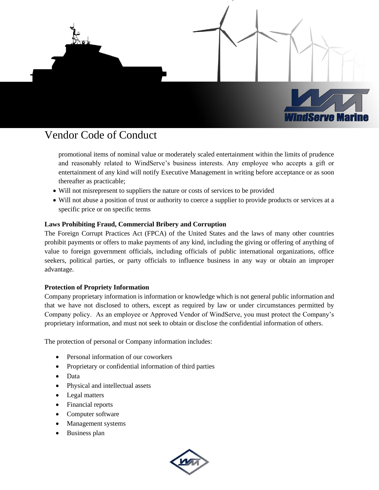

promotional items of nominal value or moderately scaled entertainment within the limits of prudence and reasonably related to WindServe's business interests. Any employee who accepts a gift or entertainment of any kind will notify Executive Management in writing before acceptance or as soon thereafter as practicable;

- Will not misrepresent to suppliers the nature or costs of services to be provided
- Will not abuse a position of trust or authority to coerce a supplier to provide products or services at a specific price or on specific terms

### **Laws Prohibiting Fraud, Commercial Bribery and Corruption**

The Foreign Corrupt Practices Act (FPCA) of the United States and the laws of many other countries prohibit payments or offers to make payments of any kind, including the giving or offering of anything of value to foreign government officials, including officials of public international organizations, office seekers, political parties, or party officials to influence business in any way or obtain an improper advantage.

### **Protection of Propriety Information**

Company proprietary information is information or knowledge which is not general public information and that we have not disclosed to others, except as required by law or under circumstances permitted by Company policy. As an employee or Approved Vendor of WindServe, you must protect the Company's proprietary information, and must not seek to obtain or disclose the confidential information of others.

The protection of personal or Company information includes:

- Personal information of our coworkers
- Proprietary or confidential information of third parties
- Data
- Physical and intellectual assets
- Legal matters
- Financial reports
- Computer software
- Management systems
- Business plan

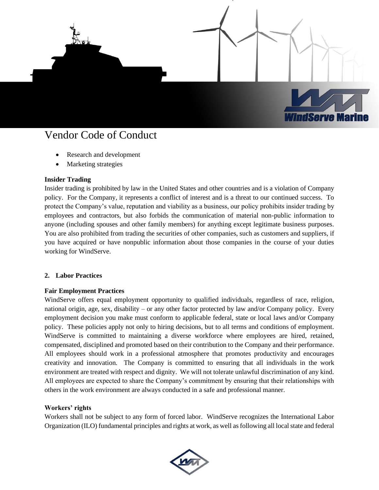

- Research and development
- Marketing strategies

### **Insider Trading**

Insider trading is prohibited by law in the United States and other countries and is a violation of Company policy. For the Company, it represents a conflict of interest and is a threat to our continued success. To protect the Company's value, reputation and viability as a business, our policy prohibits insider trading by employees and contractors, but also forbids the communication of material non-public information to anyone (including spouses and other family members) for anything except legitimate business purposes. You are also prohibited from trading the securities of other companies, such as customers and suppliers, if you have acquired or have nonpublic information about those companies in the course of your duties working for WindServe.

### **2. Labor Practices**

### **Fair Employment Practices**

WindServe offers equal employment opportunity to qualified individuals, regardless of race, religion, national origin, age, sex, disability – or any other factor protected by law and/or Company policy. Every employment decision you make must conform to applicable federal, state or local laws and/or Company policy. These policies apply not only to hiring decisions, but to all terms and conditions of employment. WindServe is committed to maintaining a diverse workforce where employees are hired, retained, compensated, disciplined and promoted based on their contribution to the Company and their performance. All employees should work in a professional atmosphere that promotes productivity and encourages creativity and innovation. The Company is committed to ensuring that all individuals in the work environment are treated with respect and dignity. We will not tolerate unlawful discrimination of any kind. All employees are expected to share the Company's commitment by ensuring that their relationships with others in the work environment are always conducted in a safe and professional manner.

#### **Workers' rights**

Workers shall not be subject to any form of forced labor. WindServe recognizes the International Labor Organization (ILO) fundamental principles and rights at work, as well as following all local state and federal

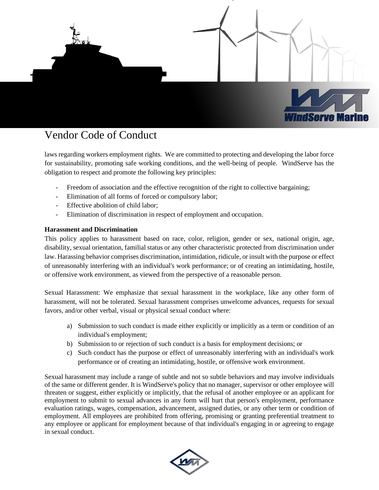

laws regarding workers employment rights. We are committed to protecting and developing the labor force for sustainability, promoting safe working conditions, and the well-being of people. WindServe has the obligation to respect and promote the following key principles:

- Freedom of association and the effective recognition of the right to collective bargaining;
- Elimination of all forms of forced or compulsory labor;
- Effective abolition of child labor;
- Elimination of discrimination in respect of employment and occupation.

### **Harassment and Discrimination**

This policy applies to harassment based on race, color, religion, gender or sex, national origin, age, disability, sexual orientation, familial status or any other characteristic protected from discrimination under law. Harassing behavior comprises discrimination, intimidation, ridicule, or insult with the purpose or effect of unreasonably interfering with an individual's work performance; or of creating an intimidating, hostile, or offensive work environment, as viewed from the perspective of a reasonable person.

Sexual Harassment: We emphasize that sexual harassment in the workplace, like any other form of harassment, will not be tolerated. Sexual harassment comprises unwelcome advances, requests for sexual favors, and/or other verbal, visual or physical sexual conduct where:

- a) Submission to such conduct is made either explicitly or implicitly as a term or condition of an individual's employment;
- b) Submission to or rejection of such conduct is a basis for employment decisions; or
- c) Such conduct has the purpose or effect of unreasonably interfering with an individual's work performance or of creating an intimidating, hostile, or offensive work environment.

Sexual harassment may include a range of subtle and not so subtle behaviors and may involve individuals of the same or different gender. It is WindServe's policy that no manager, supervisor or other employee will threaten or suggest, either explicitly or implicitly, that the refusal of another employee or an applicant for employment to submit to sexual advances in any form will hurt that person's employment, performance evaluation ratings, wages, compensation, advancement, assigned duties, or any other term or condition of employment. All employees are prohibited from offering, promising or granting preferential treatment to any employee or applicant for employment because of that individual's engaging in or agreeing to engage in sexual conduct.

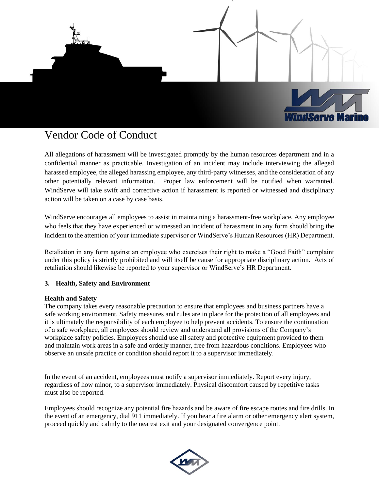

All allegations of harassment will be investigated promptly by the human resources department and in a confidential manner as practicable. Investigation of an incident may include interviewing the alleged harassed employee, the alleged harassing employee, any third-party witnesses, and the consideration of any other potentially relevant information. Proper law enforcement will be notified when warranted. WindServe will take swift and corrective action if harassment is reported or witnessed and disciplinary action will be taken on a case by case basis.

WindServe encourages all employees to assist in maintaining a harassment-free workplace. Any employee who feels that they have experienced or witnessed an incident of harassment in any form should bring the incident to the attention of your immediate supervisor or WindServe's Human Resources (HR) Department.

Retaliation in any form against an employee who exercises their right to make a "Good Faith" complaint under this policy is strictly prohibited and will itself be cause for appropriate disciplinary action. Acts of retaliation should likewise be reported to your supervisor or WindServe's HR Department.

### **3. Health, Safety and Environment**

### **Health and Safety**

The company takes every reasonable precaution to ensure that employees and business partners have a safe working environment. Safety measures and rules are in place for the protection of all employees and it is ultimately the responsibility of each employee to help prevent accidents. To ensure the continuation of a safe workplace, all employees should review and understand all provisions of the Company's workplace safety policies. Employees should use all safety and protective equipment provided to them and maintain work areas in a safe and orderly manner, free from hazardous conditions. Employees who observe an unsafe practice or condition should report it to a supervisor immediately.

In the event of an accident, employees must notify a supervisor immediately. Report every injury, regardless of how minor, to a supervisor immediately. Physical discomfort caused by repetitive tasks must also be reported.

Employees should recognize any potential fire hazards and be aware of fire escape routes and fire drills. In the event of an emergency, dial 911 immediately. If you hear a fire alarm or other emergency alert system, proceed quickly and calmly to the nearest exit and your designated convergence point.